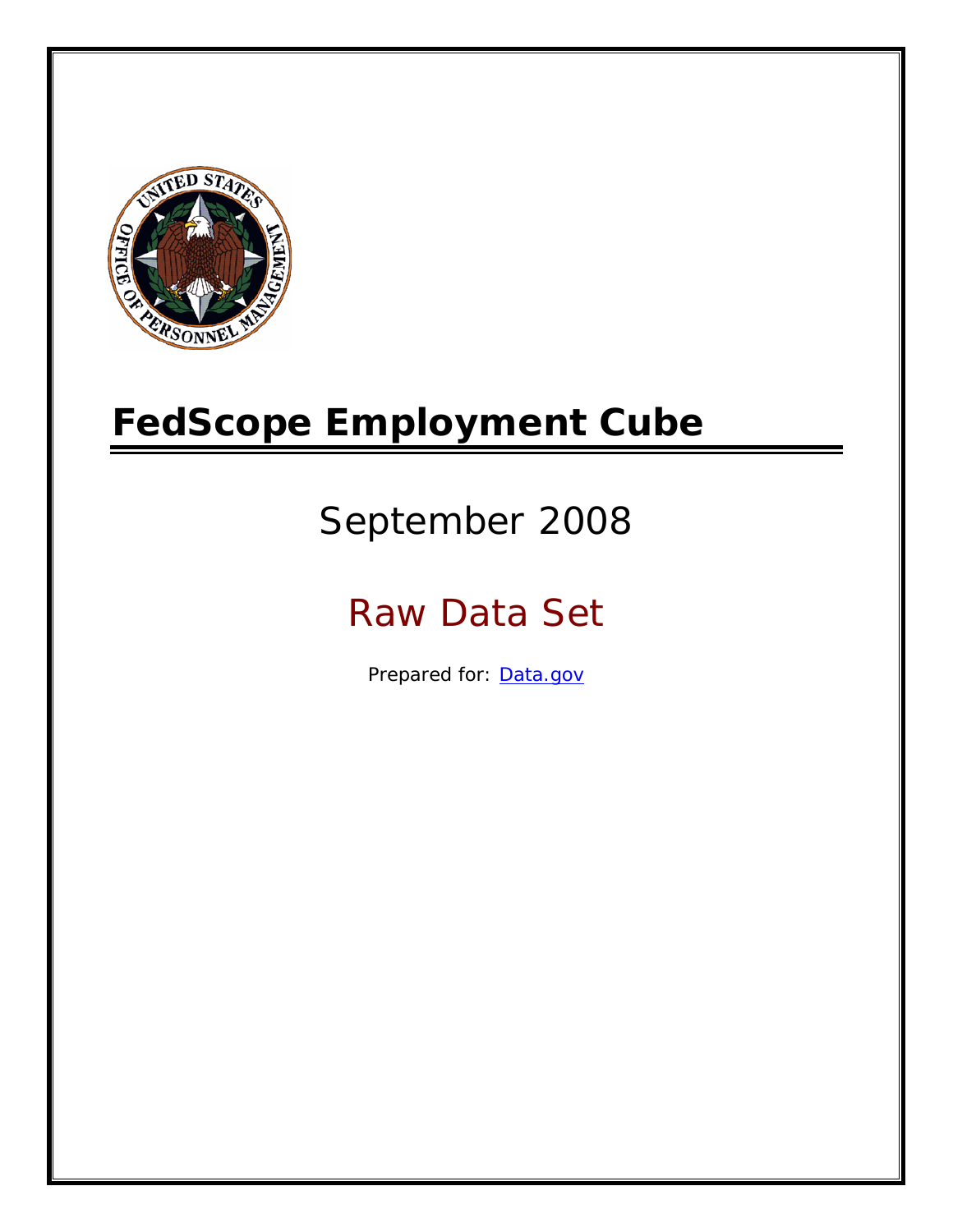

# **FedScope Employment Cube**

# September 2008

# Raw Data Set

Prepared for: [Data.gov](http://www.data.gov/)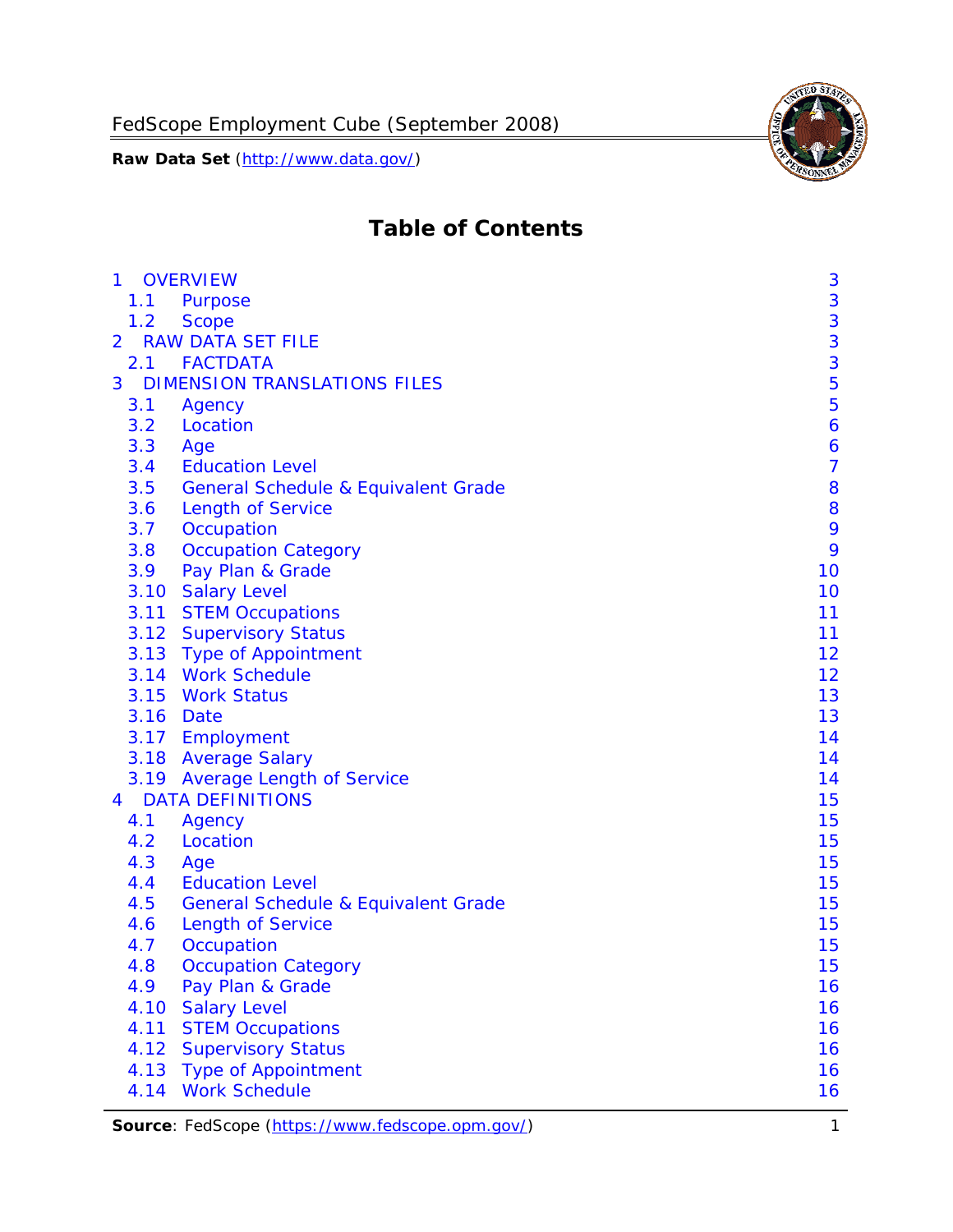

# **Table of Contents**

| $\mathbf{1}$ | <b>OVERVIEW</b>                                | 3              |
|--------------|------------------------------------------------|----------------|
| 1.1          | Purpose                                        | 3              |
| 1.2          | <b>Scope</b>                                   | 3              |
| 2            | <b>RAW DATA SET FILE</b>                       | 3              |
| 2.1          | <b>FACTDATA</b>                                | 3              |
| 3            | <b>DIMENSION TRANSLATIONS FILES</b>            | 5              |
| 3.1          | Agency                                         | 5              |
| 3.2          | Location                                       | 6              |
| 3.3          | Age                                            | 6              |
| 3.4          | <b>Education Level</b>                         | $\overline{7}$ |
| 3.5          | <b>General Schedule &amp; Equivalent Grade</b> | 8              |
| 3.6          | <b>Length of Service</b>                       | 8              |
| 3.7          | Occupation                                     | 9              |
| 3.8          | <b>Occupation Category</b>                     | 9              |
| 3.9          | Pay Plan & Grade                               | 10             |
| 3.10         | <b>Salary Level</b>                            | 10             |
|              | 3.11 STEM Occupations                          | 11             |
|              | 3.12 Supervisory Status                        | 11             |
|              | 3.13 Type of Appointment                       | 12             |
|              | 3.14 Work Schedule                             | 12             |
| 3.15         | <b>Work Status</b>                             | 13             |
|              | 3.16 Date                                      | 13             |
|              | 3.17 Employment                                | 14             |
|              | 3.18 Average Salary                            | 14             |
|              | 3.19 Average Length of Service                 | 14             |
| 4            | <b>DATA DEFINITIONS</b>                        | 15             |
| 4.1          | Agency                                         | 15             |
| 4.2          | Location                                       | 15             |
| 4.3          | Age                                            | 15             |
| 4.4          | <b>Education Level</b>                         | 15             |
| 4.5          | <b>General Schedule &amp; Equivalent Grade</b> | 15             |
| 4.6          | <b>Length of Service</b>                       | 15             |
| 4.7          | Occupation                                     | 15             |
| 4.8          | <b>Occupation Category</b>                     | 15             |
| 4.9          | Pay Plan & Grade                               | 16             |
| 4.10         | <b>Salary Level</b>                            | 16             |
| 4.11         | <b>STEM Occupations</b>                        | 16             |
| 4.12         | <b>Supervisory Status</b>                      | 16             |
| 4.13         | <b>Type of Appointment</b>                     | 16             |
| 4.14         | <b>Work Schedule</b>                           | 16             |

Source: FedScope (https://www.fedscope.opm.gov/) 1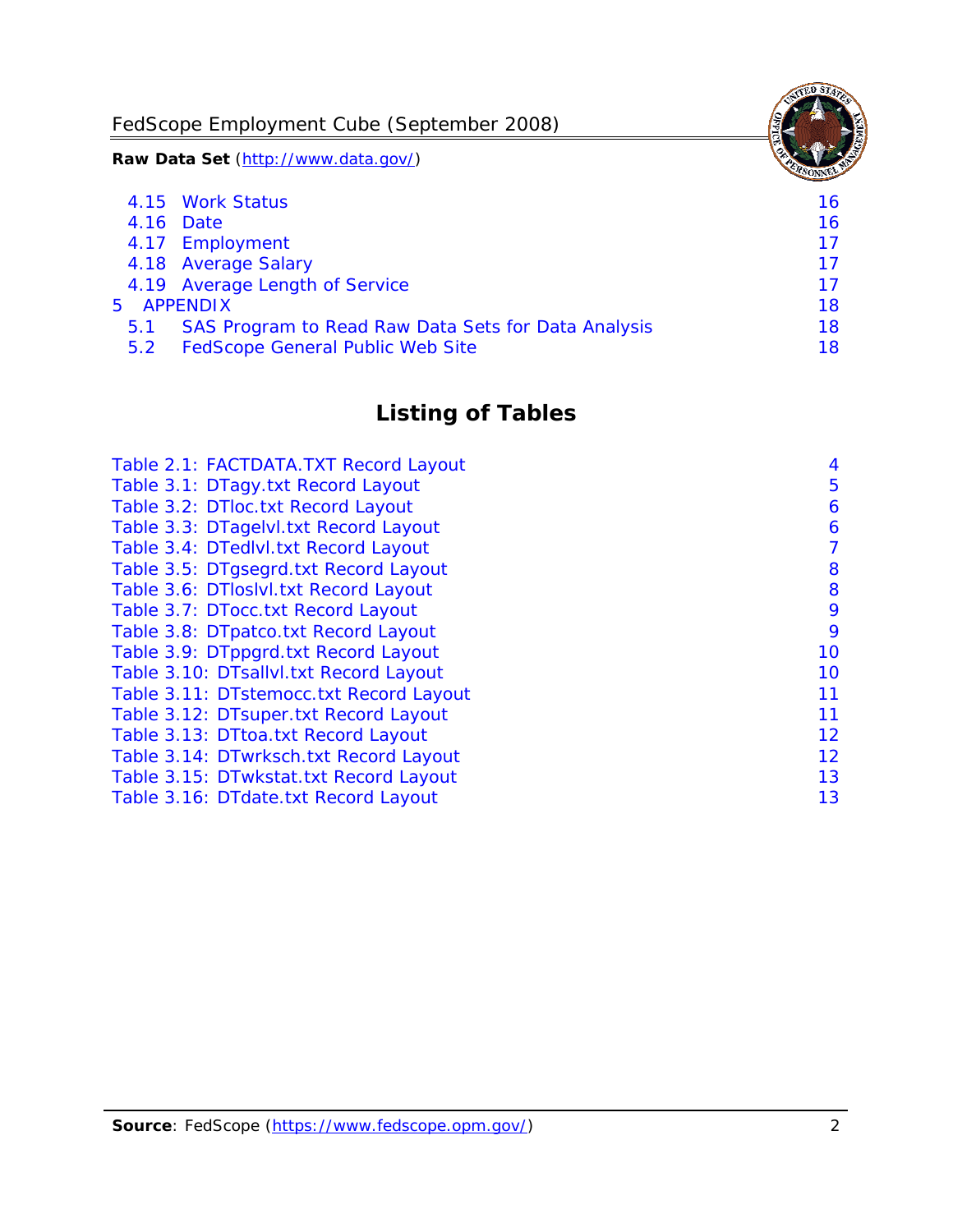FedScope Employment Cube (September 2008)

**Raw Data Set** (http://www.data.gov/)

|               | 4.15 Work Status                                    | 16 |
|---------------|-----------------------------------------------------|----|
|               | 4.16 Date                                           | 16 |
|               | 4.17 Employment                                     | 17 |
|               | 4.18 Average Salary                                 | 17 |
|               | 4.19 Average Length of Service                      | 17 |
|               | 5 APPENDIX                                          | 18 |
| 5.1           | SAS Program to Read Raw Data Sets for Data Analysis | 18 |
| $5.2^{\circ}$ | <b>FedScope General Public Web Site</b>             | 18 |

# **Listing of Tables**

| Table 2.1: FACTDATA.TXT Record Layout   | 4  |
|-----------------------------------------|----|
| Table 3.1: DTagy.txt Record Layout      | 5  |
| Table 3.2: DTloc.txt Record Layout      | 6  |
| Table 3.3: DTagelvl.txt Record Layout   | 6  |
| Table 3.4: DTedlvl.txt Record Layout    | 7  |
| Table 3.5: DTgsegrd.txt Record Layout   | 8  |
| Table 3.6: DTIoslyl.txt Record Layout   | 8  |
| Table 3.7: DTocc.txt Record Layout      | 9  |
| Table 3.8: DTpatco.txt Record Layout    | 9  |
| Table 3.9: DTppgrd.txt Record Layout    | 10 |
| Table 3.10: DTsallvl.txt Record Layout  | 10 |
| Table 3.11: DTstemocc.txt Record Layout | 11 |
| Table 3.12: DTsuper.txt Record Layout   | 11 |
| Table 3.13: DTtoa.txt Record Layout     | 12 |
| Table 3.14: DTwrksch.txt Record Layout  | 12 |
| Table 3.15: DTwkstat.txt Record Layout  | 13 |
| Table 3.16: DTdate.txt Record Layout    | 13 |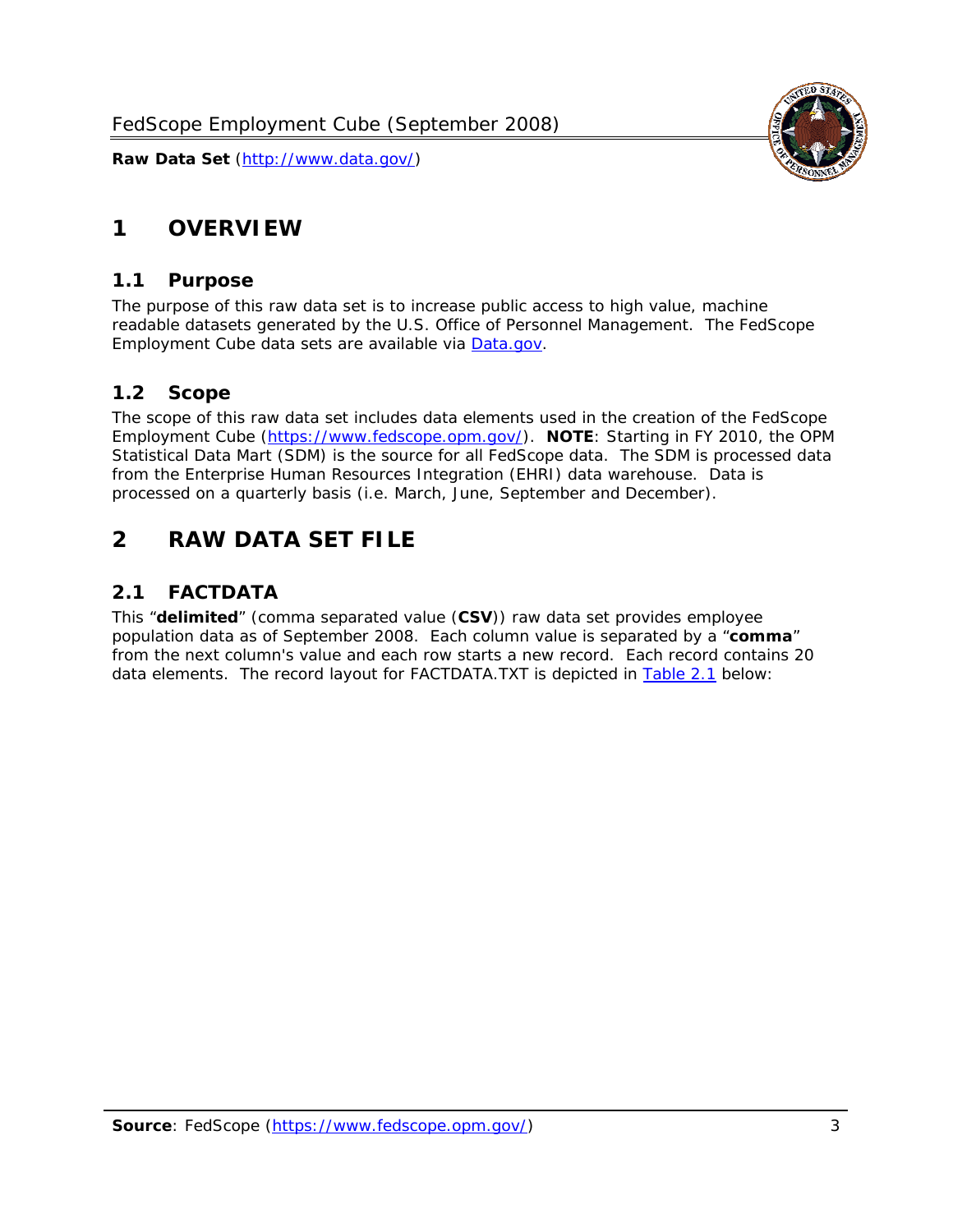<span id="page-3-0"></span>

#### *1.1 Purpose*

<span id="page-3-1"></span>The purpose of this raw data set is to increase public access to high value, machine readable datasets generated by the U.S. Office of Personnel Management. The FedScope Employment Cube data sets are available via [Data.gov](http://www.data.gov/).

## <span id="page-3-2"></span>*1.2 Scope*

The scope of this raw data set includes data elements used in the creation of the FedScope Employment Cube [\(https://www.fedscope.opm.gov/\)](https://www.fedscope.opm.gov/). **NOTE**: Starting in FY 2010, the OPM Statistical Data Mart (SDM) is the source for all FedScope data. The SDM is processed data from the Enterprise Human Resources Integration (EHRI) data warehouse. Data is processed on a quarterly basis (i.e. March, June, September and December).

# <span id="page-3-3"></span>**2 RAW DATA SET FILE**

# <span id="page-3-4"></span>*2.1 FACTDATA*

This "**delimited**" (comma separated value (**CSV**)) raw data set provides employee population data as of September 2008. Each column value is separated by a "**comma**" from the next column's value and each row starts a new record. Each record contains 20 data elements. The record layout for FACTDATA.TXT is depicted in [Table 2.1](#page-4-1) below:

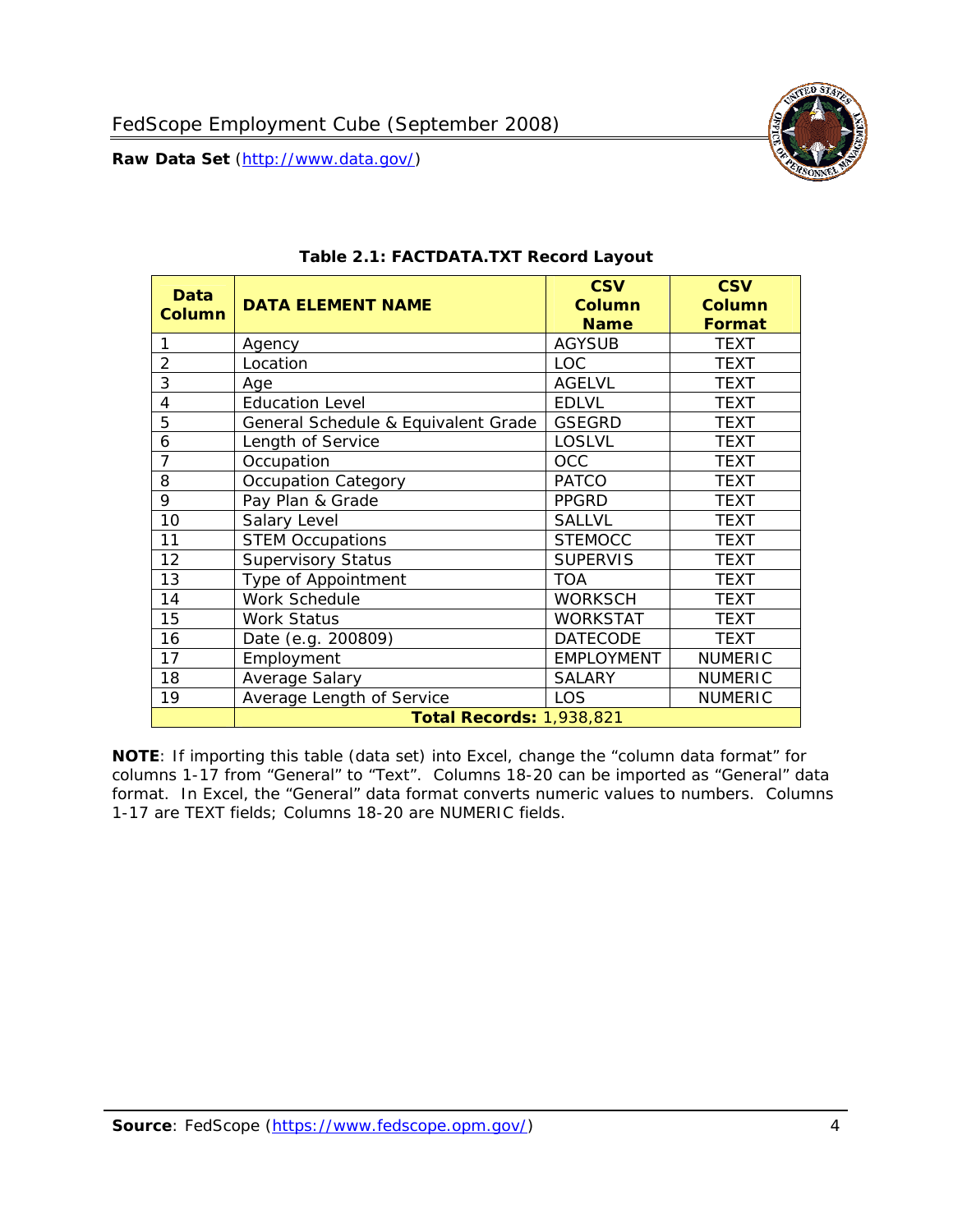<span id="page-4-1"></span><span id="page-4-0"></span>**Data** 



**NOTE**: If importing this table (data set) into Excel, change the "column data format" for columns 1-17 from "General" to "Text". Columns 18-20 can be imported as "General" data format. In Excel, the "General" data format converts numeric values to numbers. Columns 1-17 are TEXT fields; Columns 18-20 are NUMERIC fields.

**Total Records:** 1,938,821

18 Average Salary SALARY NUMERIC 19 | Average Length of Service | LOS | NUMERIC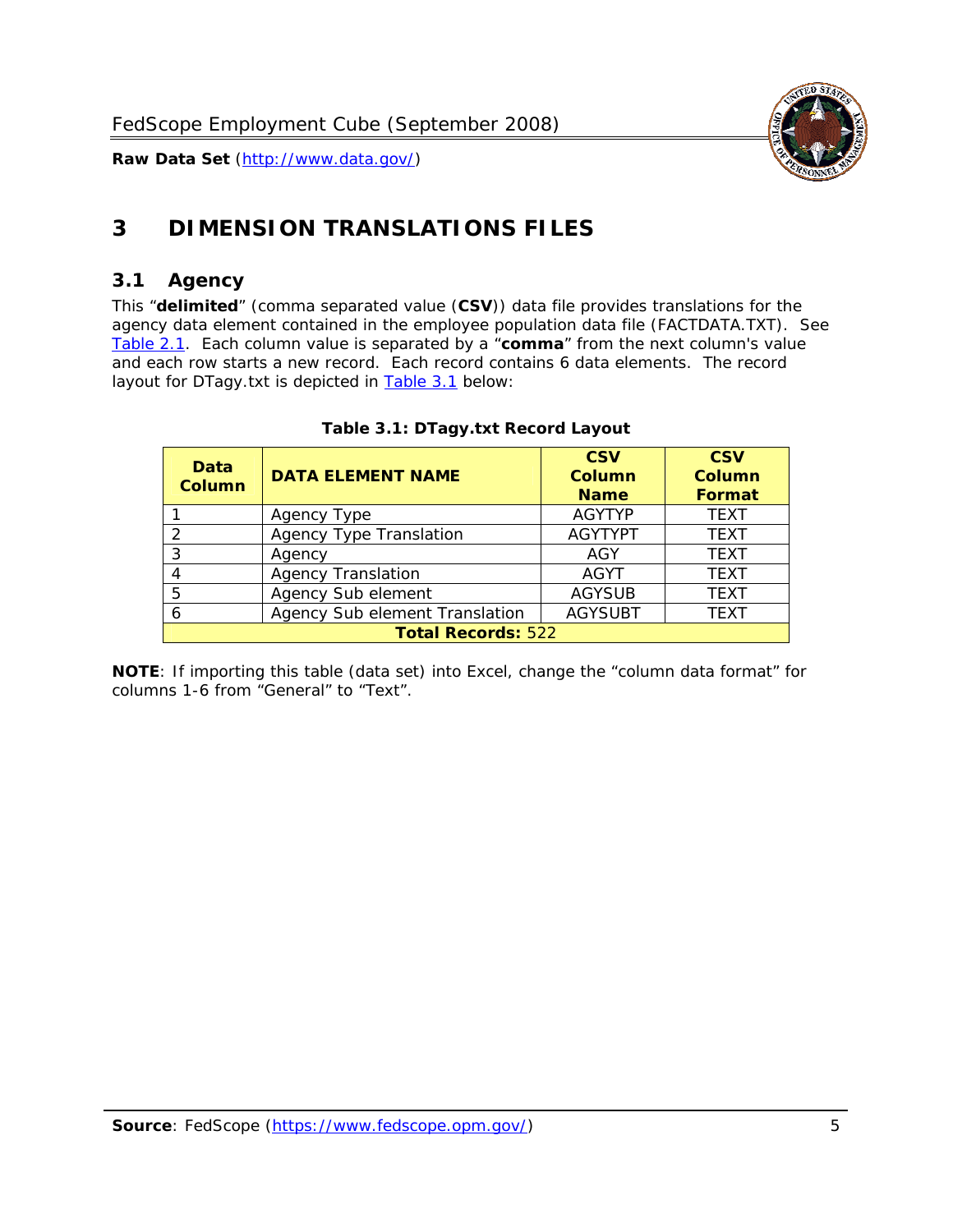

# <span id="page-5-0"></span>**3 DIMENSION TRANSLATIONS FILES**

#### <span id="page-5-1"></span>*3.1 Agency*

<span id="page-5-3"></span><span id="page-5-2"></span>This "**delimited**" (comma separated value (**CSV**)) data file provides translations for the agency data element contained in the employee population data file (FACTDATA.TXT). See [Table 2.1.](#page-4-1) Each column value is separated by a "**comma**" from the next column's value and each row starts a new record. Each record contains 6 data elements. The record layout for DTagy.txt is depicted in [Table 3.1](#page-5-3) below:

| Data<br>Column            | <b>DATA ELEMENT NAME</b>       | <b>CSV</b><br><b>Column</b><br><b>Name</b> | <b>CSV</b><br>Column<br><b>Format</b> |  |
|---------------------------|--------------------------------|--------------------------------------------|---------------------------------------|--|
|                           | Agency Type                    | <b>AGYTYP</b>                              | <b>TEXT</b>                           |  |
|                           | <b>Agency Type Translation</b> | <b>AGYTYPT</b>                             | <b>TEXT</b>                           |  |
| 3                         | Agency                         | AGY                                        | <b>TEXT</b>                           |  |
|                           | <b>Agency Translation</b>      | AGYT                                       | <b>TEXT</b>                           |  |
| -5                        | Agency Sub element             | <b>AGYSUB</b>                              | <b>TEXT</b>                           |  |
|                           | Agency Sub element Translation | <b>AGYSUBT</b>                             | <b>TEXT</b>                           |  |
| <b>Total Records: 522</b> |                                |                                            |                                       |  |

#### **Table 3.1: DTagy.txt Record Layout**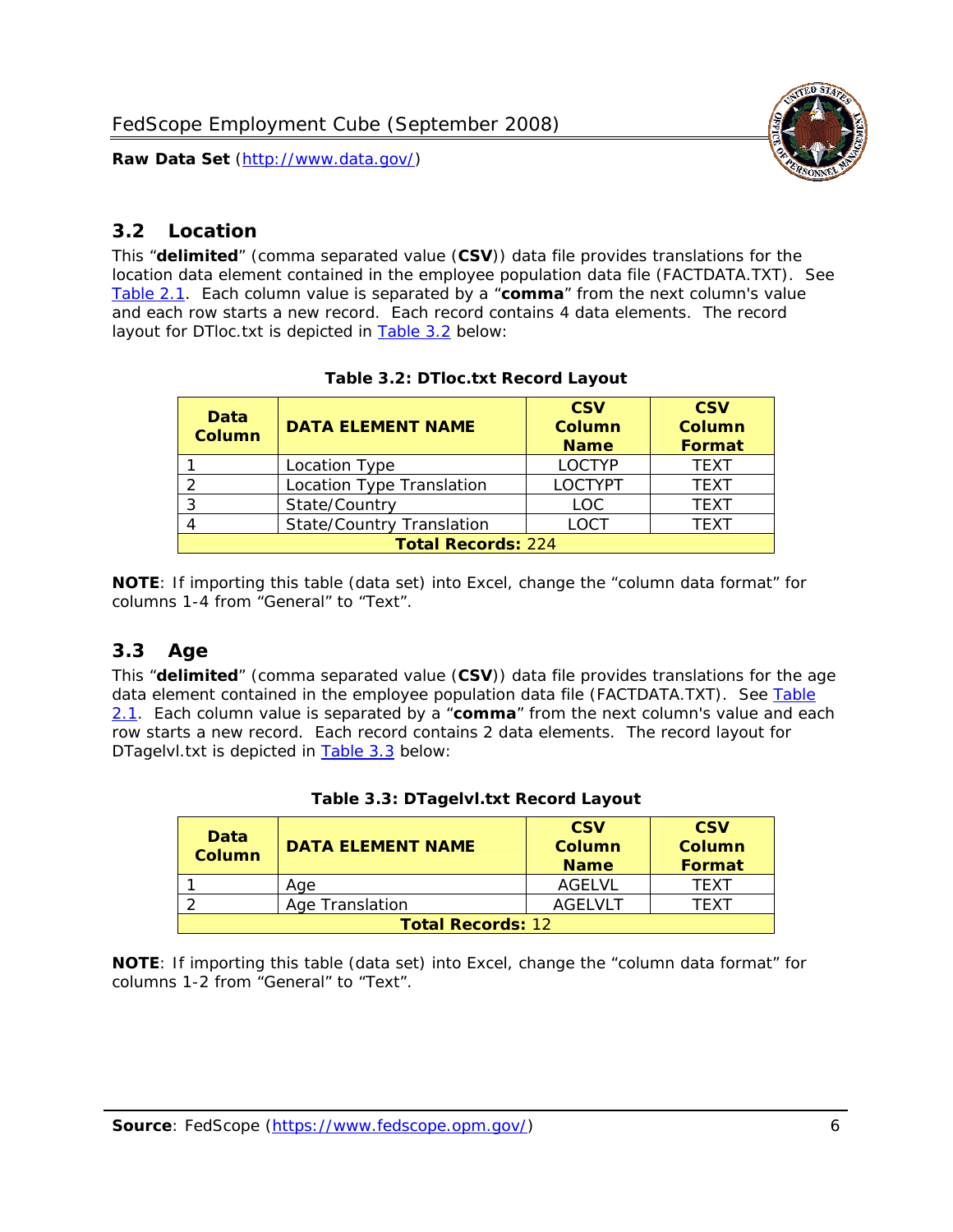

#### <span id="page-6-0"></span>*3.2 Location*

<span id="page-6-4"></span><span id="page-6-2"></span>This "**delimited**" (comma separated value (**CSV**)) data file provides translations for the location data element contained in the employee population data file (FACTDATA.TXT). See [Table 2.1.](#page-4-1) Each column value is separated by a "**comma**" from the next column's value and each row starts a new record. Each record contains 4 data elements. The record layout for DTloc.txt is depicted in [Table 3.2](#page-6-4) below:

| Data<br><b>Column</b>     | <b>DATA ELEMENT NAME</b>         | <b>CSV</b><br><b>Column</b><br><b>Name</b> | <b>CSV</b><br><b>Column</b><br><b>Format</b> |  |
|---------------------------|----------------------------------|--------------------------------------------|----------------------------------------------|--|
|                           | Location Type                    | <b>LOCTYP</b>                              | <b>TEXT</b>                                  |  |
|                           | Location Type Translation        | <b>LOCTYPT</b>                             | <b>TEXT</b>                                  |  |
| ⌒                         | State/Country                    | <b>LOC</b>                                 | <b>TEXT</b>                                  |  |
|                           | <b>State/Country Translation</b> | LOCT                                       | <b>TFXT</b>                                  |  |
| <b>Total Records: 224</b> |                                  |                                            |                                              |  |

#### **Table 3.2: DTloc.txt Record Layout**

**NOTE**: If importing this table (data set) into Excel, change the "column data format" for columns 1-4 from "General" to "Text".

#### <span id="page-6-1"></span>*3.3 Age*

<span id="page-6-5"></span><span id="page-6-3"></span>This "**delimited**" (comma separated value (**CSV**)) data file provides translations for the age data element contained in the employee population data file (FACTDATA.TXT). See [Table](#page-4-1) [2.1](#page-4-1). Each column value is separated by a "**comma**" from the next column's value and each row starts a new record. Each record contains 2 data elements. The record layout for DTagelvl.txt is depicted in [Table 3.3](#page-6-5) below:

| Data<br><b>Column</b>    | <b>DATA ELEMENT NAME</b> | <b>CSV</b><br>Column<br><b>Name</b> | <b>CSV</b><br>Column<br><b>Format</b> |  |
|--------------------------|--------------------------|-------------------------------------|---------------------------------------|--|
|                          | Aae                      | AGELVL                              | TFXT                                  |  |
|                          | Age Translation          | AGFI VI T                           | TFXT                                  |  |
| <b>Total Records: 12</b> |                          |                                     |                                       |  |

|  |  | Table 3.3: DTagelvl.txt Record Layout |  |
|--|--|---------------------------------------|--|
|  |  |                                       |  |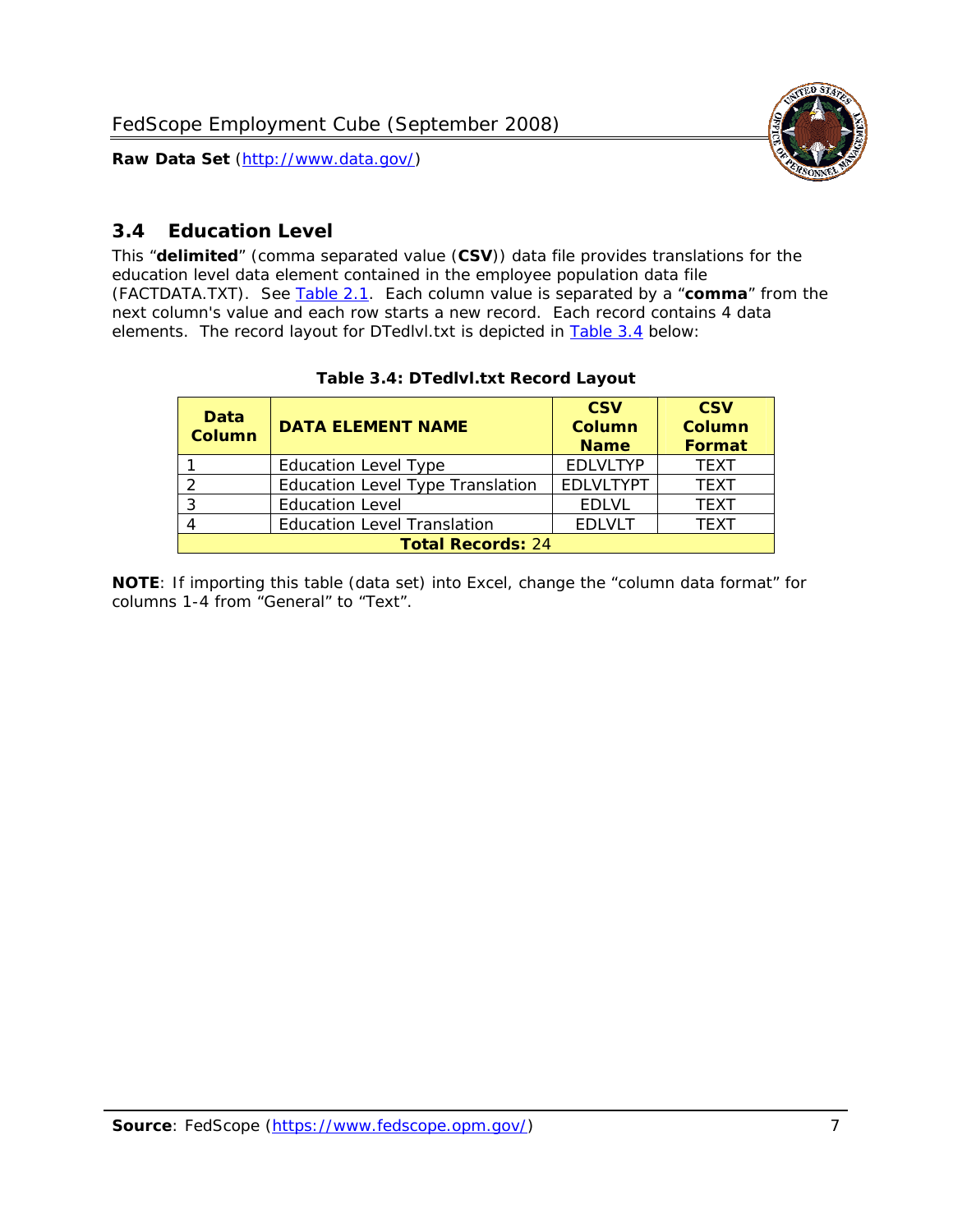

### <span id="page-7-0"></span>*3.4 Education Level*

<span id="page-7-2"></span><span id="page-7-1"></span>This "**delimited**" (comma separated value (**CSV**)) data file provides translations for the education level data element contained in the employee population data file (FACTDATA.TXT). See [Table 2.1](#page-4-1). Each column value is separated by a "**comma**" from the next column's value and each row starts a new record. Each record contains 4 data elements. The record layout for DTedlvl.txt is depicted in [Table 3.4](#page-7-2) below:

| Data<br><b>Column</b>    | <b>DATA ELEMENT NAME</b>           | <b>CSV</b><br><b>Column</b><br><b>Name</b> | <b>CSV</b><br><b>Column</b><br><b>Format</b> |  |  |
|--------------------------|------------------------------------|--------------------------------------------|----------------------------------------------|--|--|
|                          | <b>Education Level Type</b>        | <b>EDLVLTYP</b>                            | <b>TEXT</b>                                  |  |  |
|                          | Education Level Type Translation   | <b>EDLVLTYPT</b>                           | <b>TEXT</b>                                  |  |  |
|                          | <b>Education Level</b>             | <b>EDLVL</b>                               | <b>TEXT</b>                                  |  |  |
|                          | <b>Education Level Translation</b> | <b>EDLVLT</b>                              | <b>TEXT</b>                                  |  |  |
| <b>Total Records: 24</b> |                                    |                                            |                                              |  |  |

#### **Table 3.4: DTedlvl.txt Record Layout**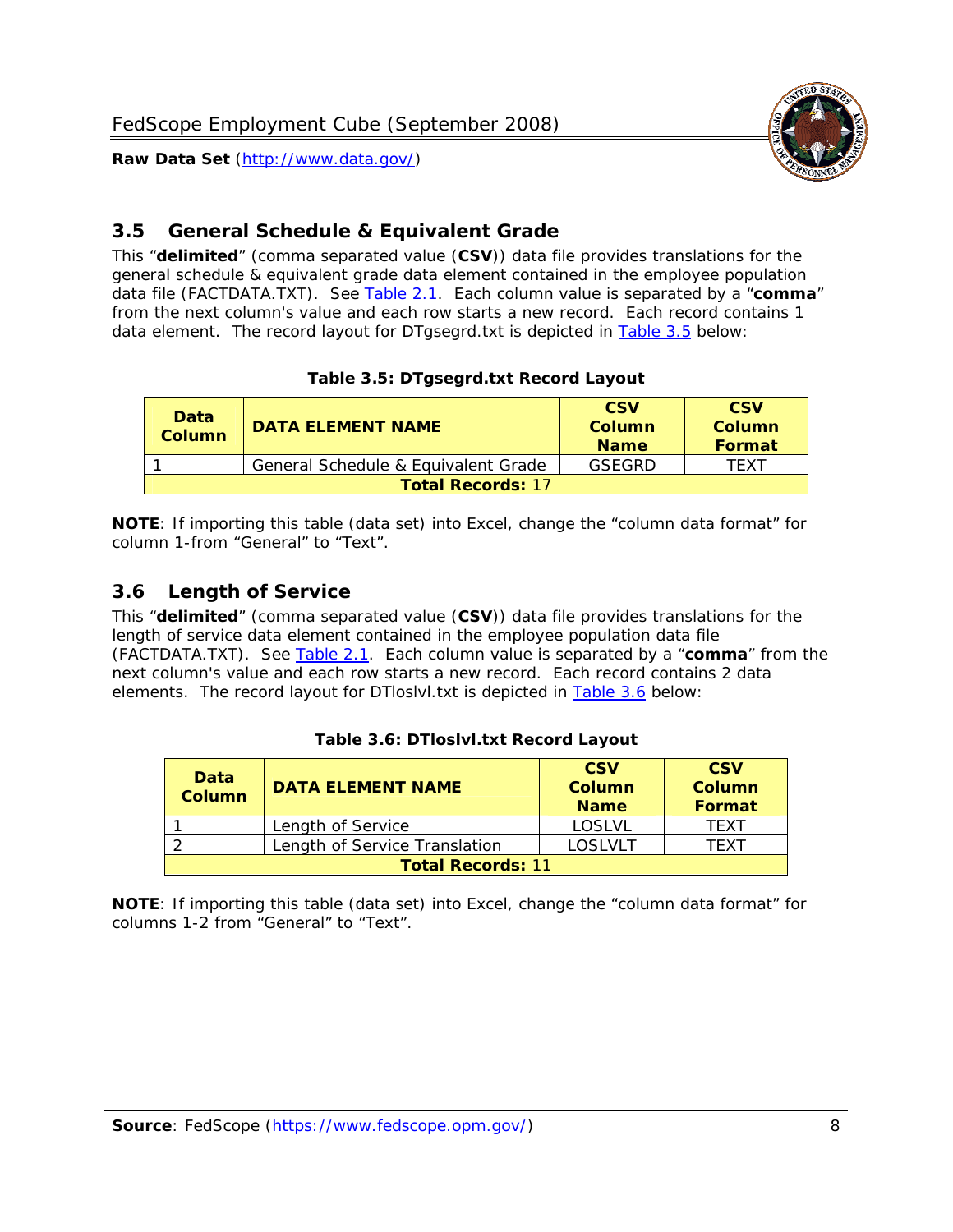<span id="page-8-0"></span>

This "**delimited**" (comma separated value (**CSV**)) data file provides translations for the general schedule & equivalent grade data element contained in the employee population data file (FACTDATA.TXT). See [Table 2.1](#page-4-1). Each column value is separated by a "**comma**" from the next column's value and each row starts a new record. Each record contains 1 data element. The record layout for DTgsegrd.txt is depicted in [Table 3.5](#page-8-4) below:

#### **Table 3.5: DTgsegrd.txt Record Layout**

<span id="page-8-4"></span><span id="page-8-2"></span>

| Data<br>Column           | <b>DATA ELEMENT NAME</b>            |        | <b>CSV</b><br>Column<br><b>Format</b> |  |  |
|--------------------------|-------------------------------------|--------|---------------------------------------|--|--|
|                          | General Schedule & Equivalent Grade | GSFGRD | <b>TFXT</b>                           |  |  |
| <b>Total Records: 17</b> |                                     |        |                                       |  |  |

**NOTE**: If importing this table (data set) into Excel, change the "column data format" for column 1-from "General" to "Text".

#### <span id="page-8-1"></span>*3.6 Length of Service*

<span id="page-8-5"></span>This "**delimited**" (comma separated value (**CSV**)) data file provides translations for the length of service data element contained in the employee population data file (FACTDATA.TXT). See [Table 2.1](#page-4-1). Each column value is separated by a "**comma**" from the next column's value and each row starts a new record. Each record contains 2 data elements. The record layout for DTloslvl.txt is depicted in [Table 3.6](#page-8-5) below:

<span id="page-8-3"></span>

| Data<br><b>Column</b>    | <b>DATA ELEMENT NAME</b>      | <b>CSV</b><br><b>Column</b><br><b>Name</b> | <b>CSV</b><br>Column<br>Format |  |  |
|--------------------------|-------------------------------|--------------------------------------------|--------------------------------|--|--|
|                          | Length of Service             | LOSLVL                                     | TFXT                           |  |  |
|                          | Length of Service Translation | LOSI VLT                                   | TFXT                           |  |  |
| <b>Total Records: 11</b> |                               |                                            |                                |  |  |

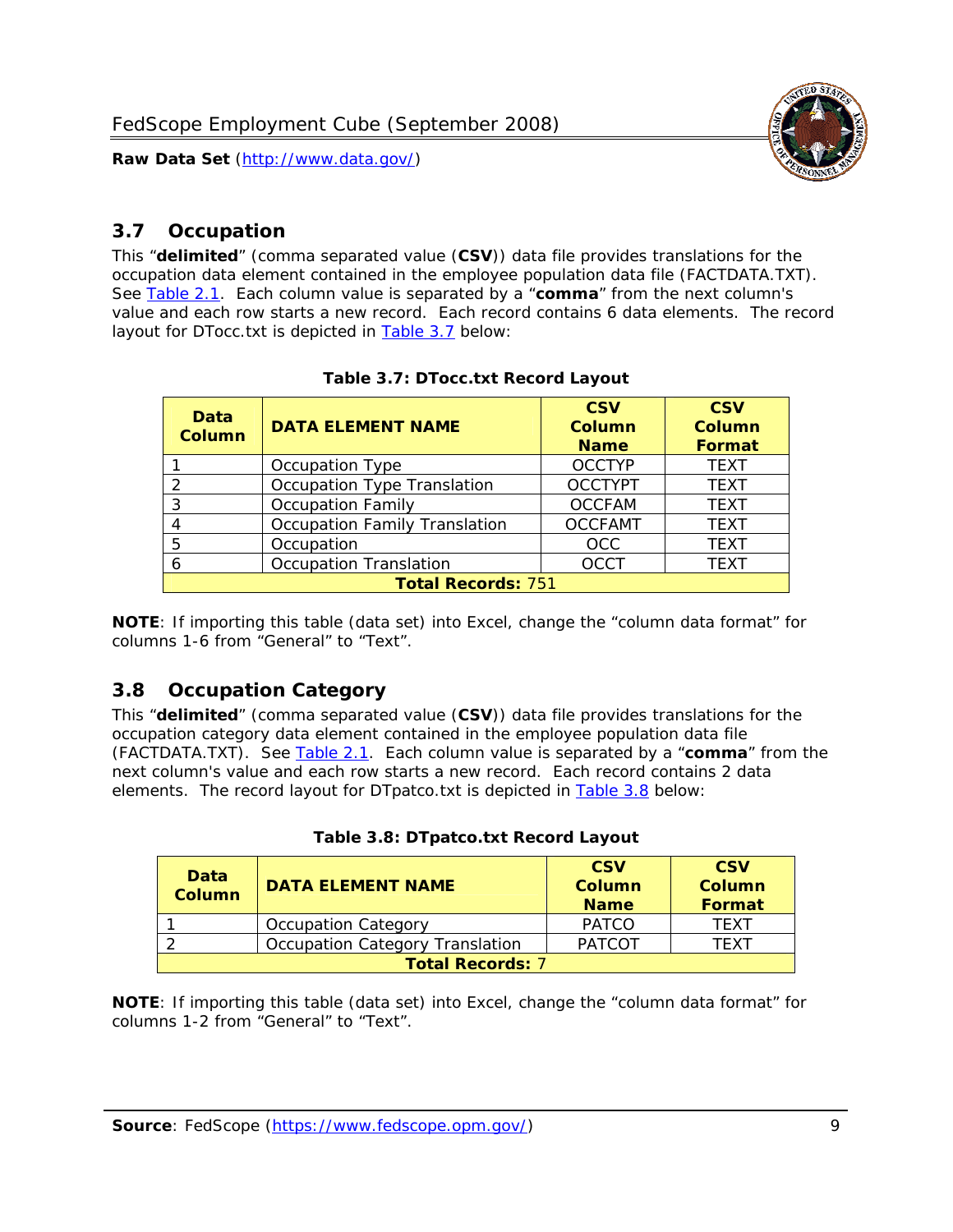

#### <span id="page-9-0"></span>*3.7 Occupation*

<span id="page-9-4"></span>This "**delimited**" (comma separated value (**CSV**)) data file provides translations for the occupation data element contained in the employee population data file (FACTDATA.TXT). See [Table 2.1](#page-4-1). Each column value is separated by a "**comma**" from the next column's value and each row starts a new record. Each record contains 6 data elements. The record layout for DTocc.txt is depicted in [Table 3.7](#page-9-4) below:

<span id="page-9-2"></span>

| Data<br><b>Column</b>     | <b>DATA ELEMENT NAME</b>             | <b>CSV</b><br>Column<br><b>Name</b> | <b>CSV</b><br><b>Column</b><br><b>Format</b> |  |  |
|---------------------------|--------------------------------------|-------------------------------------|----------------------------------------------|--|--|
|                           | Occupation Type                      | <b>OCCTYP</b>                       | <b>TEXT</b>                                  |  |  |
|                           | Occupation Type Translation          | <b>OCCTYPT</b>                      | <b>TEXT</b>                                  |  |  |
| ર                         | <b>Occupation Family</b>             | <b>OCCFAM</b>                       | <b>TEXT</b>                                  |  |  |
|                           | <b>Occupation Family Translation</b> | <b>OCCFAMT</b>                      | <b>TEXT</b>                                  |  |  |
| 5                         | Occupation                           | <b>OCC</b>                          | <b>TEXT</b>                                  |  |  |
|                           | <b>Occupation Translation</b>        | <b>OCCT</b>                         | <b>TEXT</b>                                  |  |  |
| <b>Total Records: 751</b> |                                      |                                     |                                              |  |  |

#### **Table 3.7: DTocc.txt Record Layout**

**NOTE**: If importing this table (data set) into Excel, change the "column data format" for columns 1-6 from "General" to "Text".

#### <span id="page-9-1"></span>*3.8 Occupation Category*

<span id="page-9-5"></span>This "**delimited**" (comma separated value (**CSV**)) data file provides translations for the occupation category data element contained in the employee population data file (FACTDATA.TXT). See [Table 2.1](#page-4-1). Each column value is separated by a "**comma**" from the next column's value and each row starts a new record. Each record contains 2 data elements. The record layout for DTpatco.txt is depicted in [Table 3.8](#page-9-5) below:

<span id="page-9-3"></span>

| Data<br><b>Column</b>   | <b>DATA ELEMENT NAME</b>        | <b>CSV</b><br>Column<br><b>Name</b> | <b>CSV</b><br>Column<br>Format |  |
|-------------------------|---------------------------------|-------------------------------------|--------------------------------|--|
|                         | <b>Occupation Category</b>      | <b>PATCO</b>                        | <b>TFXT</b>                    |  |
|                         | Occupation Category Translation | <b>PATCOT</b>                       | TFXT                           |  |
| <b>Total Records: 7</b> |                                 |                                     |                                |  |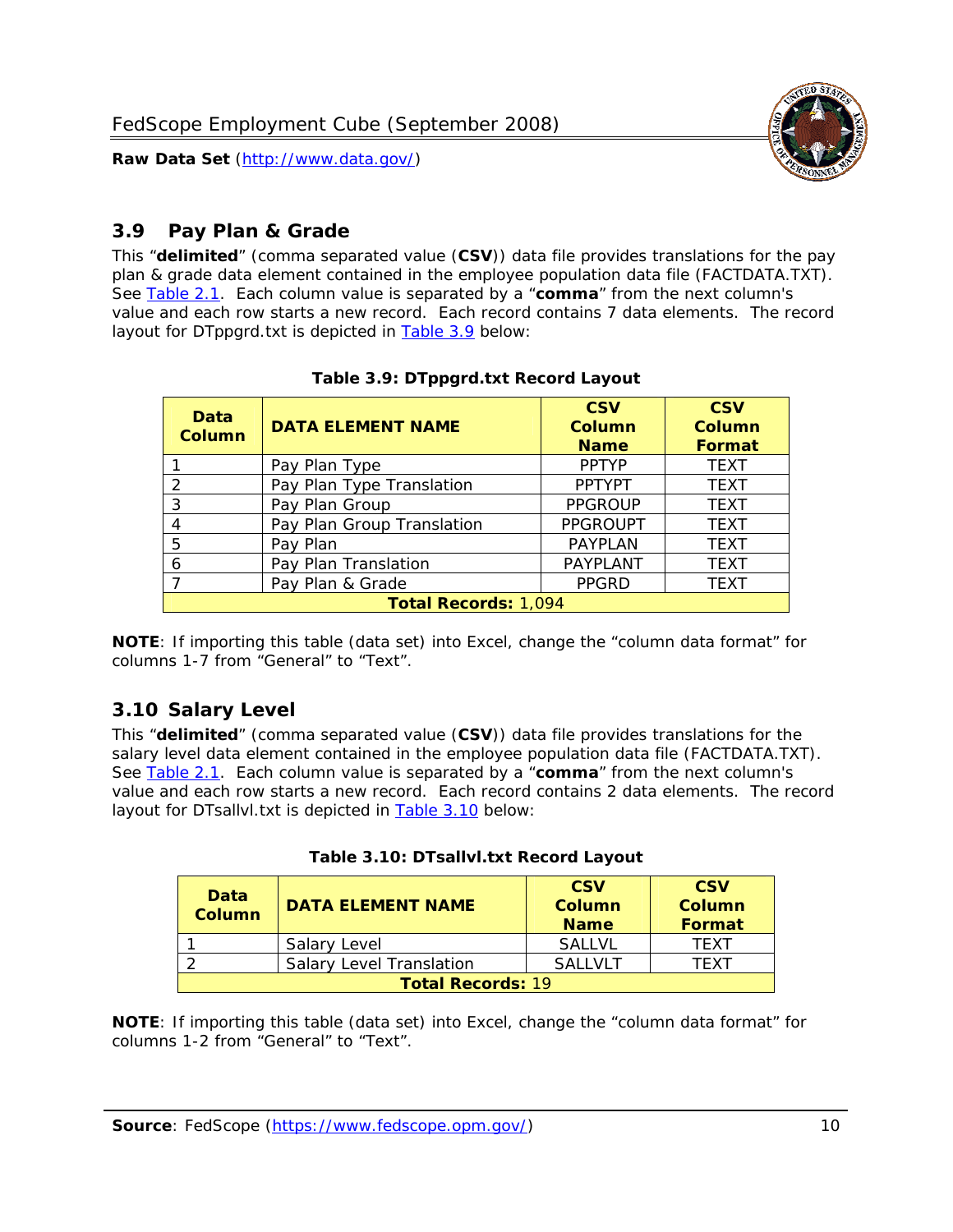

#### <span id="page-10-0"></span>*3.9 Pay Plan & Grade*

<span id="page-10-4"></span>This "**delimited**" (comma separated value (**CSV**)) data file provides translations for the pay plan & grade data element contained in the employee population data file (FACTDATA.TXT). See [Table 2.1](#page-4-1). Each column value is separated by a "**comma**" from the next column's value and each row starts a new record. Each record contains 7 data elements. The record layout for DTppgrd.txt is depicted in **Table 3.9** below:

<span id="page-10-2"></span>

| Data<br>Column              | <b>DATA ELEMENT NAME</b>   | <b>CSV</b><br>Column<br><b>Name</b> | <b>CSV</b><br>Column<br><b>Format</b> |  |
|-----------------------------|----------------------------|-------------------------------------|---------------------------------------|--|
|                             | Pay Plan Type              | <b>PPTYP</b>                        | <b>TEXT</b>                           |  |
| $\mathcal{P}$               | Pay Plan Type Translation  | <b>PPTYPT</b>                       | <b>TEXT</b>                           |  |
| 3                           | Pay Plan Group             | <b>PPGROUP</b>                      | <b>TEXT</b>                           |  |
|                             | Pay Plan Group Translation | <b>PPGROUPT</b>                     | <b>TEXT</b>                           |  |
| 5                           | Pay Plan                   | <b>PAYPLAN</b>                      | <b>TEXT</b>                           |  |
| 6                           | Pay Plan Translation       | PAYPLANT                            | <b>TEXT</b>                           |  |
|                             | Pay Plan & Grade           | <b>PPGRD</b>                        | <b>TEXT</b>                           |  |
| <b>Total Records: 1,094</b> |                            |                                     |                                       |  |

#### **Table 3.9: DTppgrd.txt Record Layout**

**NOTE**: If importing this table (data set) into Excel, change the "column data format" for columns 1-7 from "General" to "Text".

## <span id="page-10-1"></span>*3.10 Salary Level*

<span id="page-10-5"></span><span id="page-10-3"></span>This "**delimited**" (comma separated value (**CSV**)) data file provides translations for the salary level data element contained in the employee population data file (FACTDATA.TXT). See [Table 2.1](#page-4-1). Each column value is separated by a "**comma**" from the next column's value and each row starts a new record. Each record contains 2 data elements. The record layout for DTsallvl.txt is depicted in [Table 3.10](#page-10-5) below:

| <b>Data</b><br>Column    | <b>DATA ELEMENT NAME</b>        | <b>CSV</b><br>Column<br><b>Name</b> | <b>CSV</b><br>Column<br><b>Format</b> |
|--------------------------|---------------------------------|-------------------------------------|---------------------------------------|
|                          | Salary Level                    | <b>SALLVL</b>                       | TFXT                                  |
|                          | <b>Salary Level Translation</b> | SAI I VI T                          | TEXT                                  |
| <b>Total Records: 19</b> |                                 |                                     |                                       |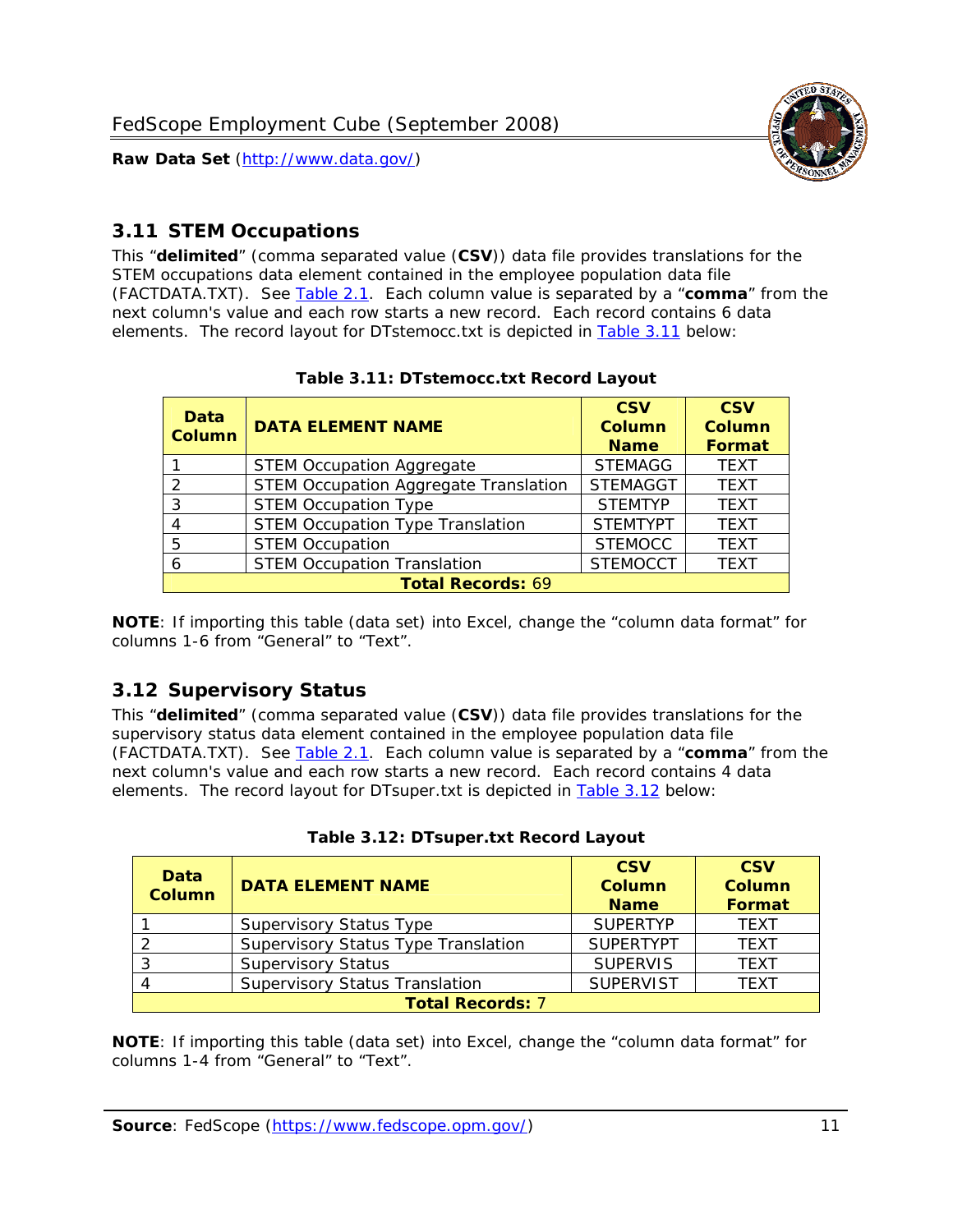

#### <span id="page-11-0"></span>*3.11 STEM Occupations*

<span id="page-11-4"></span>This "**delimited**" (comma separated value (**CSV**)) data file provides translations for the STEM occupations data element contained in the employee population data file (FACTDATA.TXT). See [Table 2.1](#page-4-1). Each column value is separated by a "**comma**" from the next column's value and each row starts a new record. Each record contains 6 data elements. The record layout for DTstemocc.txt is depicted in [Table 3.11](#page-11-4) below:

<span id="page-11-2"></span>

| <b>Data</b><br><b>Column</b> | <b>DATA ELEMENT NAME</b>                     | <b>CSV</b><br>Column<br><b>Name</b> | <b>CSV</b><br><b>Column</b><br><b>Format</b> |  |
|------------------------------|----------------------------------------------|-------------------------------------|----------------------------------------------|--|
|                              | <b>STEM Occupation Aggregate</b>             | <b>STEMAGG</b>                      | <b>TEXT</b>                                  |  |
|                              | <b>STEM Occupation Aggregate Translation</b> | <b>STEMAGGT</b>                     | <b>TEXT</b>                                  |  |
| 3                            | <b>STEM Occupation Type</b>                  | <b>STEMTYP</b>                      | <b>TEXT</b>                                  |  |
|                              | <b>STEM Occupation Type Translation</b>      | <b>STEMTYPT</b>                     | <b>TEXT</b>                                  |  |
| 5                            | <b>STEM Occupation</b>                       | <b>STEMOCC</b>                      | <b>TEXT</b>                                  |  |
|                              | <b>STEM Occupation Translation</b>           | <b>STEMOCCT</b>                     | <b>TEXT</b>                                  |  |
| <b>Total Records: 69</b>     |                                              |                                     |                                              |  |

#### **Table 3.11: DTstemocc.txt Record Layout**

**NOTE**: If importing this table (data set) into Excel, change the "column data format" for columns 1-6 from "General" to "Text".

# <span id="page-11-1"></span>*3.12 Supervisory Status*

This "**delimited**" (comma separated value (**CSV**)) data file provides translations for the supervisory status data element contained in the employee population data file (FACTDATA.TXT). See [Table 2.1](#page-4-1). Each column value is separated by a "**comma**" from the next column's value and each row starts a new record. Each record contains 4 data elements. The record layout for DTsuper.txt is depicted in [Table 3.12](#page-11-5) below:

<span id="page-11-5"></span><span id="page-11-3"></span>

| Data<br><b>Column</b>   | <b>DATA ELEMENT NAME</b>              | <b>CSV</b><br>Column<br><b>Name</b> | <b>CSV</b><br><b>Column</b><br>Format |  |
|-------------------------|---------------------------------------|-------------------------------------|---------------------------------------|--|
|                         | <b>Supervisory Status Type</b>        | <b>SUPFRTYP</b>                     | <b>TEXT</b>                           |  |
|                         | Supervisory Status Type Translation   | <b>SUPERTYPT</b>                    | <b>TEXT</b>                           |  |
|                         | <b>Supervisory Status</b>             | <b>SUPERVIS</b>                     | <b>TEXT</b>                           |  |
|                         | <b>Supervisory Status Translation</b> | <b>SUPERVIST</b>                    | <b>TEXT</b>                           |  |
| <b>Total Records: 7</b> |                                       |                                     |                                       |  |

|  | Table 3.12: DTsuper.txt Record Layout |  |
|--|---------------------------------------|--|
|--|---------------------------------------|--|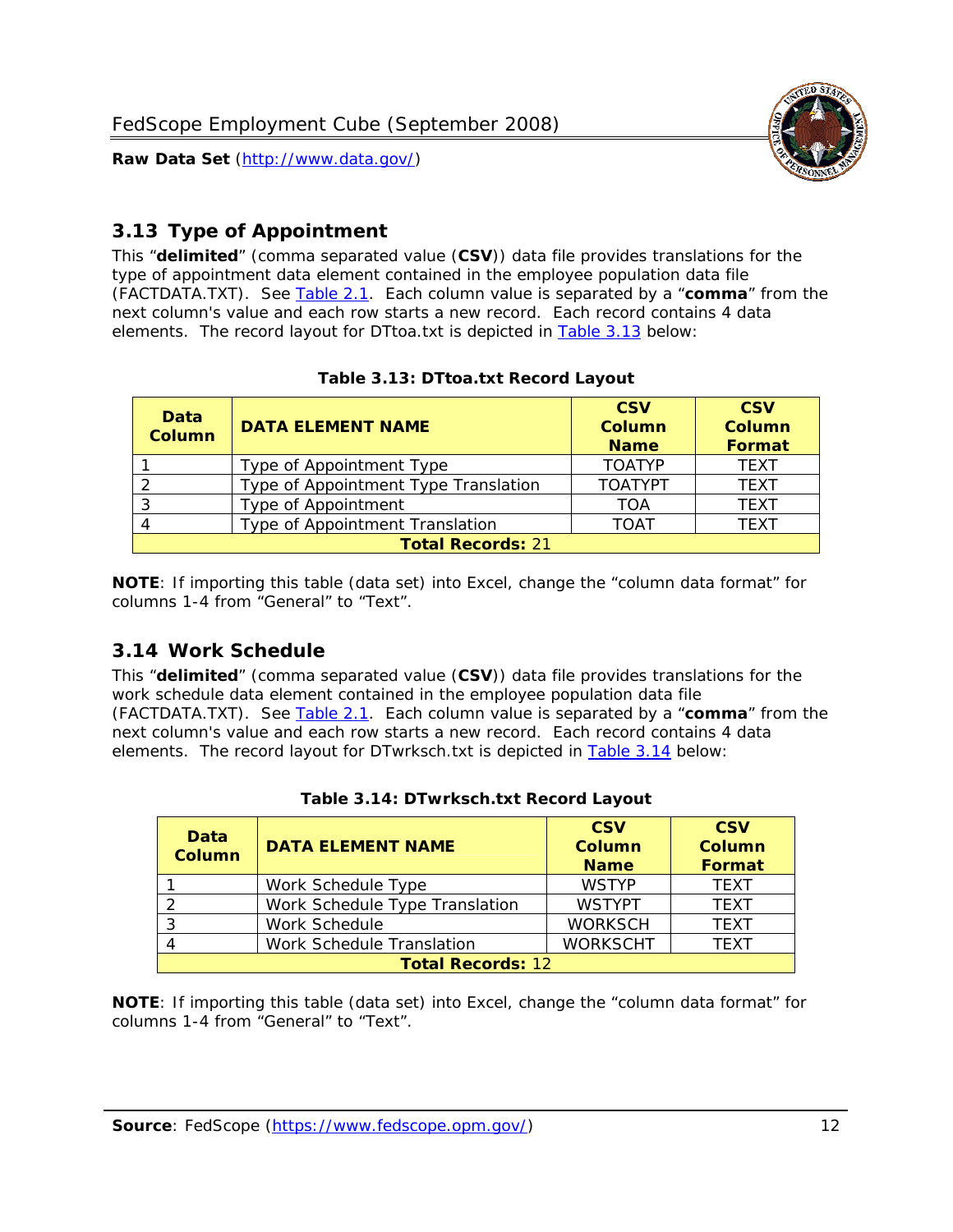

## <span id="page-12-0"></span>*3.13 Type of Appointment*

This "**delimited**" (comma separated value (**CSV**)) data file provides translations for the type of appointment data element contained in the employee population data file (FACTDATA.TXT). See [Table 2.1](#page-4-1). Each column value is separated by a "**comma**" from the next column's value and each row starts a new record. Each record contains 4 data elements. The record layout for DTtoa.txt is depicted in [Table 3.13](#page-12-4) below:

<span id="page-12-4"></span><span id="page-12-2"></span>

| Data<br><b>Column</b>    | <b>DATA ELEMENT NAME</b>             | <b>CSV</b><br><b>Column</b><br><b>Name</b> | <b>CSV</b><br><b>Column</b><br><b>Format</b> |  |
|--------------------------|--------------------------------------|--------------------------------------------|----------------------------------------------|--|
|                          | Type of Appointment Type             | <b>TOATYP</b>                              | <b>TEXT</b>                                  |  |
|                          | Type of Appointment Type Translation | <b>TOATYPT</b>                             | <b>TEXT</b>                                  |  |
|                          | Type of Appointment                  | TOA                                        | <b>TEXT</b>                                  |  |
|                          | Type of Appointment Translation      | <b>TOAT</b>                                | <b>TEXT</b>                                  |  |
| <b>Total Records: 21</b> |                                      |                                            |                                              |  |

#### **Table 3.13: DTtoa.txt Record Layout**

**NOTE**: If importing this table (data set) into Excel, change the "column data format" for columns 1-4 from "General" to "Text".

#### <span id="page-12-1"></span>*3.14 Work Schedule*

<span id="page-12-5"></span>This "**delimited**" (comma separated value (**CSV**)) data file provides translations for the work schedule data element contained in the employee population data file (FACTDATA.TXT). See [Table 2.1](#page-4-1). Each column value is separated by a "**comma**" from the next column's value and each row starts a new record. Each record contains 4 data elements. The record layout for DTwrksch.txt is depicted in [Table 3.14](#page-12-5) below:

<span id="page-12-3"></span>

| Data<br><b>Column</b>    | <b>DATA ELEMENT NAME</b>       | <b>CSV</b><br>Column<br><b>Name</b> | <b>CSV</b><br><b>Column</b><br><b>Format</b> |  |
|--------------------------|--------------------------------|-------------------------------------|----------------------------------------------|--|
|                          | Work Schedule Type             | <b>WSTYP</b>                        | <b>TEXT</b>                                  |  |
|                          | Work Schedule Type Translation | <b>WSTYPT</b>                       | <b>TFXT</b>                                  |  |
| 3                        | Work Schedule                  | <b>WORKSCH</b>                      | <b>TFXT</b>                                  |  |
|                          | Work Schedule Translation      | <b>WORKSCHT</b>                     | <b>TFXT</b>                                  |  |
| <b>Total Records: 12</b> |                                |                                     |                                              |  |

|  | Table 3.14: DTwrksch.txt Record Layout |  |
|--|----------------------------------------|--|
|  |                                        |  |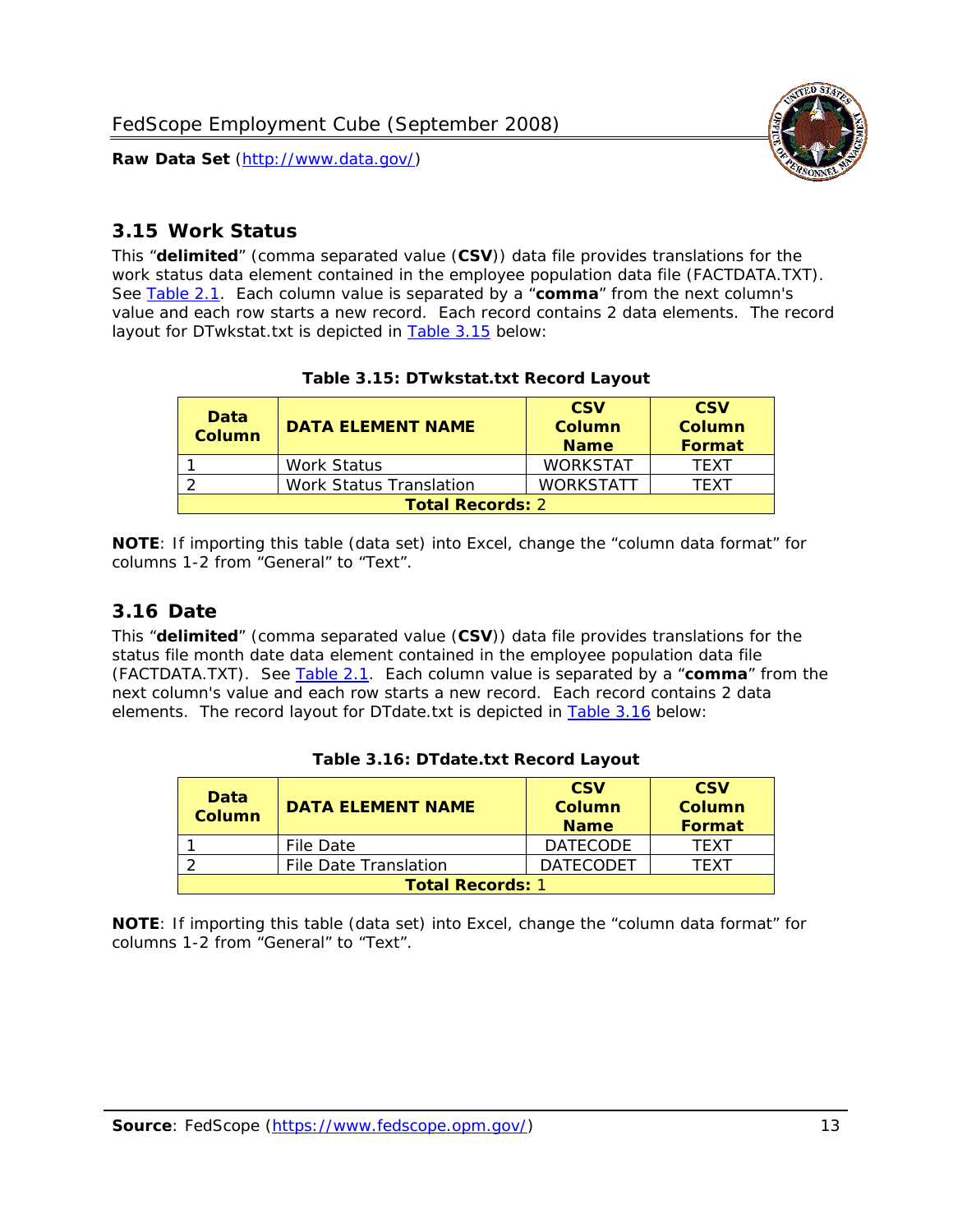

#### <span id="page-13-0"></span>*3.15 Work Status*

<span id="page-13-4"></span><span id="page-13-2"></span>This "**delimited**" (comma separated value (**CSV**)) data file provides translations for the work status data element contained in the employee population data file (FACTDATA.TXT). See [Table 2.1](#page-4-1). Each column value is separated by a "**comma**" from the next column's value and each row starts a new record. Each record contains 2 data elements. The record layout for DTwkstat.txt is depicted in [Table 3.15](#page-13-4) below:

| Data<br><b>Column</b>   | <b>DATA ELEMENT NAME</b>       | <b>CSV</b><br>Column<br><b>Name</b> | <b>CSV</b><br>Column<br><b>Format</b> |
|-------------------------|--------------------------------|-------------------------------------|---------------------------------------|
|                         | <b>Work Status</b>             | <b>WORKSTAT</b>                     | TFXT                                  |
|                         | <b>Work Status Translation</b> | <b>WORKSTATT</b>                    | TFXT                                  |
| <b>Total Records: 2</b> |                                |                                     |                                       |

#### **Table 3.15: DTwkstat.txt Record Layout**

**NOTE**: If importing this table (data set) into Excel, change the "column data format" for columns 1-2 from "General" to "Text".

#### <span id="page-13-1"></span>*3.16 Date*

<span id="page-13-5"></span><span id="page-13-3"></span>This "**delimited**" (comma separated value (**CSV**)) data file provides translations for the status file month date data element contained in the employee population data file (FACTDATA.TXT). See [Table 2.1](#page-4-1). Each column value is separated by a "**comma**" from the next column's value and each row starts a new record. Each record contains 2 data elements. The record layout for DTdate.txt is depicted in [Table 3.16](#page-13-5) below:

| Data<br><b>Column</b>   | <b>DATA FI FMFNT NAMF</b> | <b>CSV</b><br>Column<br><b>Name</b> | <b>CSV</b><br>Column<br>Format |
|-------------------------|---------------------------|-------------------------------------|--------------------------------|
|                         | File Date                 | <b>DATECODE</b>                     | TFXT                           |
|                         | File Date Translation     | <b>DATECODET</b>                    | TFXT                           |
| <b>Total Records: 1</b> |                           |                                     |                                |

| Table 3.16: DTdate.txt Record Layout |  |
|--------------------------------------|--|
|--------------------------------------|--|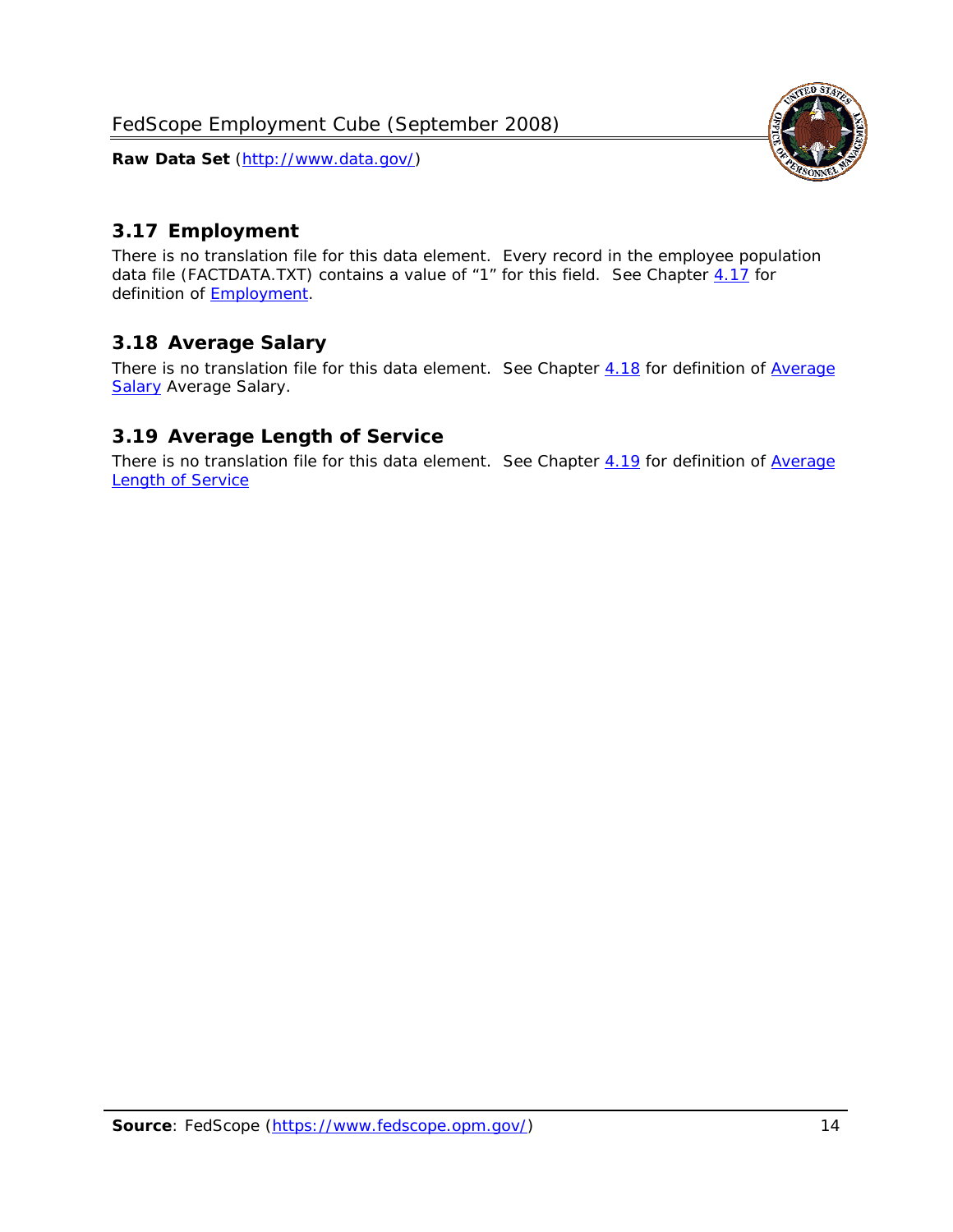

### <span id="page-14-0"></span>*3.17 Employment*

There is no translation file for this data element. Every record in the employee population data file (FACTDATA.TXT) contains a value of "1" for this field. See Chapter [4.17](#page-16-8) for definition of **Employment**.

#### <span id="page-14-1"></span>*3.18 Average Salary*

There is no translation file for this data element. See Chapter [4.18](#page-17-1) for definition of [Average](#page-17-1) [Salary](#page-17-1) [Average Salary.](#page-17-1)

#### <span id="page-14-2"></span>*3.19 Average Length of Service*

There is no translation file for this data element. See Chapter [4.19](#page-17-2) for definition of [Average](#page-17-2) Length of Service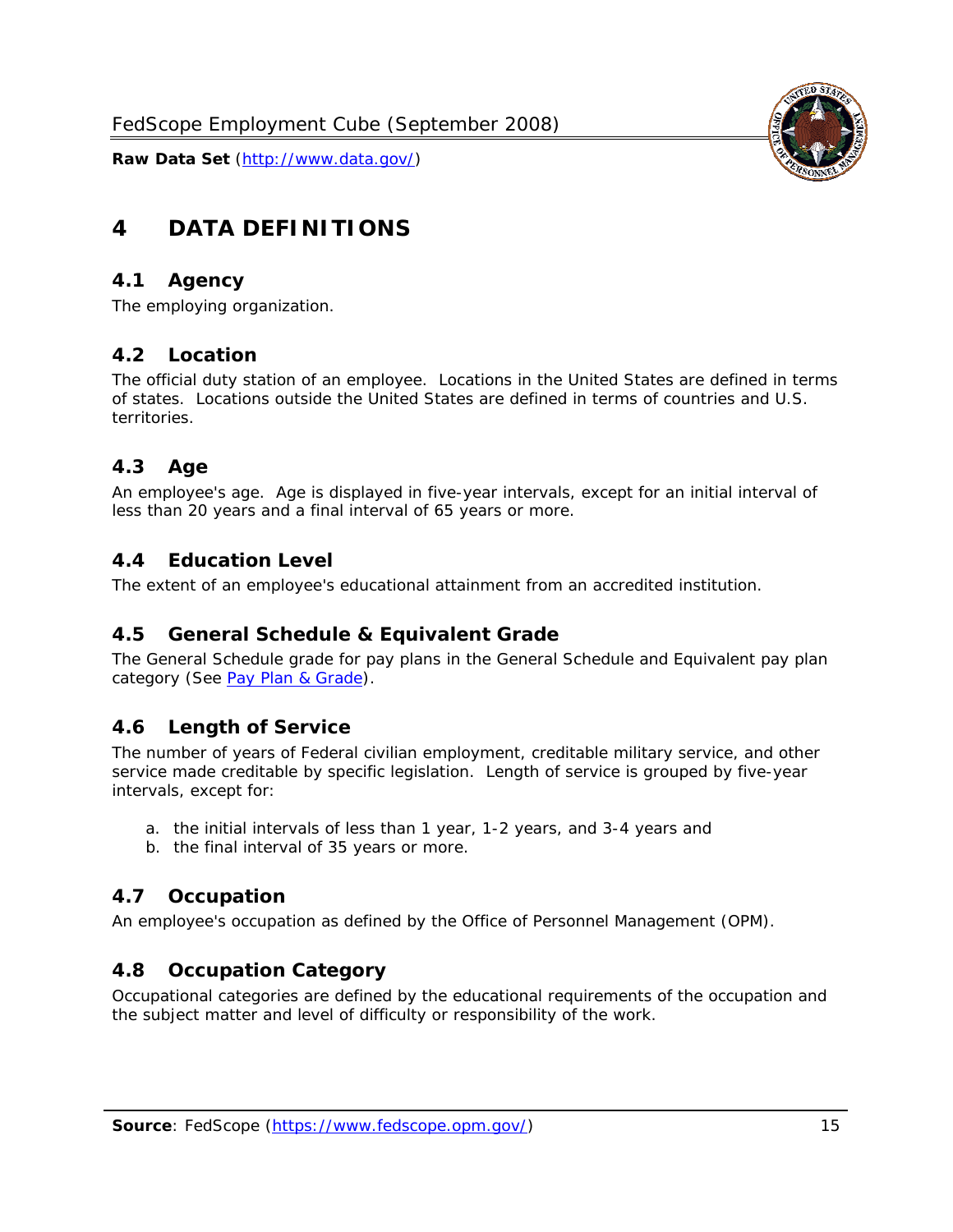

# <span id="page-15-0"></span>**4 DATA DEFINITIONS**

#### <span id="page-15-1"></span>*4.1 Agency*

The employing organization.

#### <span id="page-15-2"></span>*4.2 Location*

The official duty station of an employee. Locations in the United States are defined in terms of states. Locations outside the United States are defined in terms of countries and U.S. territories.

#### <span id="page-15-3"></span>*4.3 Age*

An employee's age. Age is displayed in five-year intervals, except for an initial interval of less than 20 years and a final interval of 65 years or more.

#### <span id="page-15-4"></span>*4.4 Education Level*

The extent of an employee's educational attainment from an accredited institution.

#### <span id="page-15-5"></span>*4.5 General Schedule & Equivalent Grade*

The General Schedule grade for pay plans in the General Schedule and Equivalent pay plan category (See [Pay Plan & Grade](#page-16-0)).

#### <span id="page-15-6"></span>*4.6 Length of Service*

The number of years of Federal civilian employment, creditable military service, and other service made creditable by specific legislation. Length of service is grouped by five-year intervals, except for:

- a. the initial intervals of less than 1 year, 1-2 years, and 3-4 years and
- b. the final interval of 35 years or more.

#### <span id="page-15-7"></span>*4.7 Occupation*

An employee's occupation as defined by the Office of Personnel Management (OPM).

#### <span id="page-15-8"></span>*4.8 Occupation Category*

Occupational categories are defined by the educational requirements of the occupation and the subject matter and level of difficulty or responsibility of the work.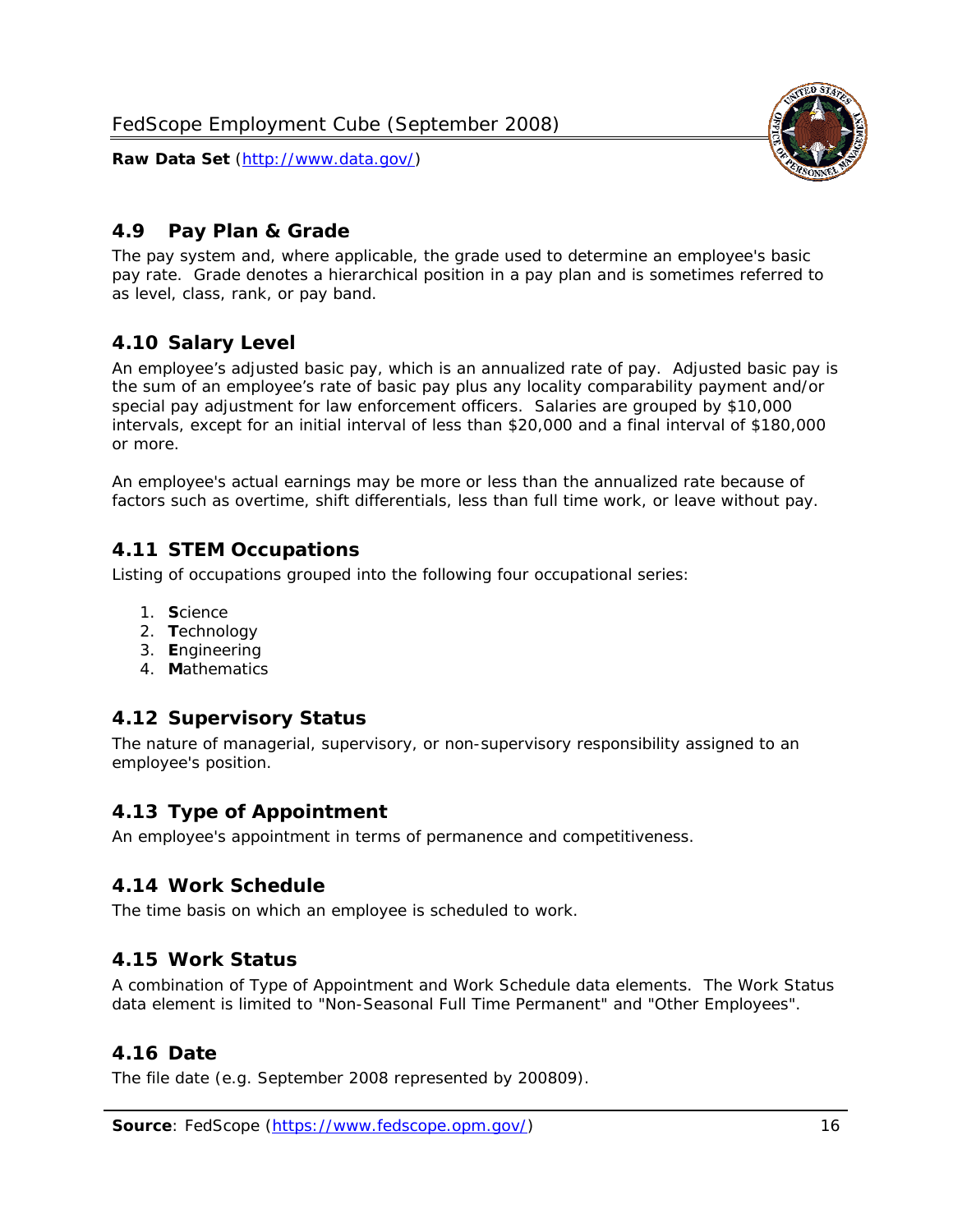<span id="page-16-0"></span>

The pay system and, where applicable, the grade used to determine an employee's basic pay rate. Grade denotes a hierarchical position in a pay plan and is sometimes referred to as level, class, rank, or pay band.

# <span id="page-16-1"></span>*4.10 Salary Level*

An employee's adjusted basic pay, which is an annualized rate of pay. Adjusted basic pay is the sum of an employee's rate of basic pay plus any locality comparability payment and/or special pay adjustment for law enforcement officers. Salaries are grouped by \$10,000 intervals, except for an initial interval of less than \$20,000 and a final interval of \$180,000 or more.

An employee's actual earnings may be more or less than the annualized rate because of factors such as overtime, shift differentials, less than full time work, or leave without pay.

## <span id="page-16-2"></span>*4.11 STEM Occupations*

Listing of occupations grouped into the following four occupational series:

- 1. **S**cience
- 2. **T**echnology
- 3. **E**ngineering
- 4. **M**athematics

#### <span id="page-16-3"></span>*4.12 Supervisory Status*

The nature of managerial, supervisory, or non-supervisory responsibility assigned to an employee's position.

#### <span id="page-16-4"></span>*4.13 Type of Appointment*

An employee's appointment in terms of permanence and competitiveness.

#### <span id="page-16-5"></span>*4.14 Work Schedule*

The time basis on which an employee is scheduled to work.

#### <span id="page-16-6"></span>*4.15 Work Status*

A combination of Type of Appointment and Work Schedule data elements. The Work Status data element is limited to "Non-Seasonal Full Time Permanent" and "Other Employees".

#### <span id="page-16-7"></span>*4.16 Date*

<span id="page-16-8"></span>The file date (e.g. September 2008 represented by 200809).

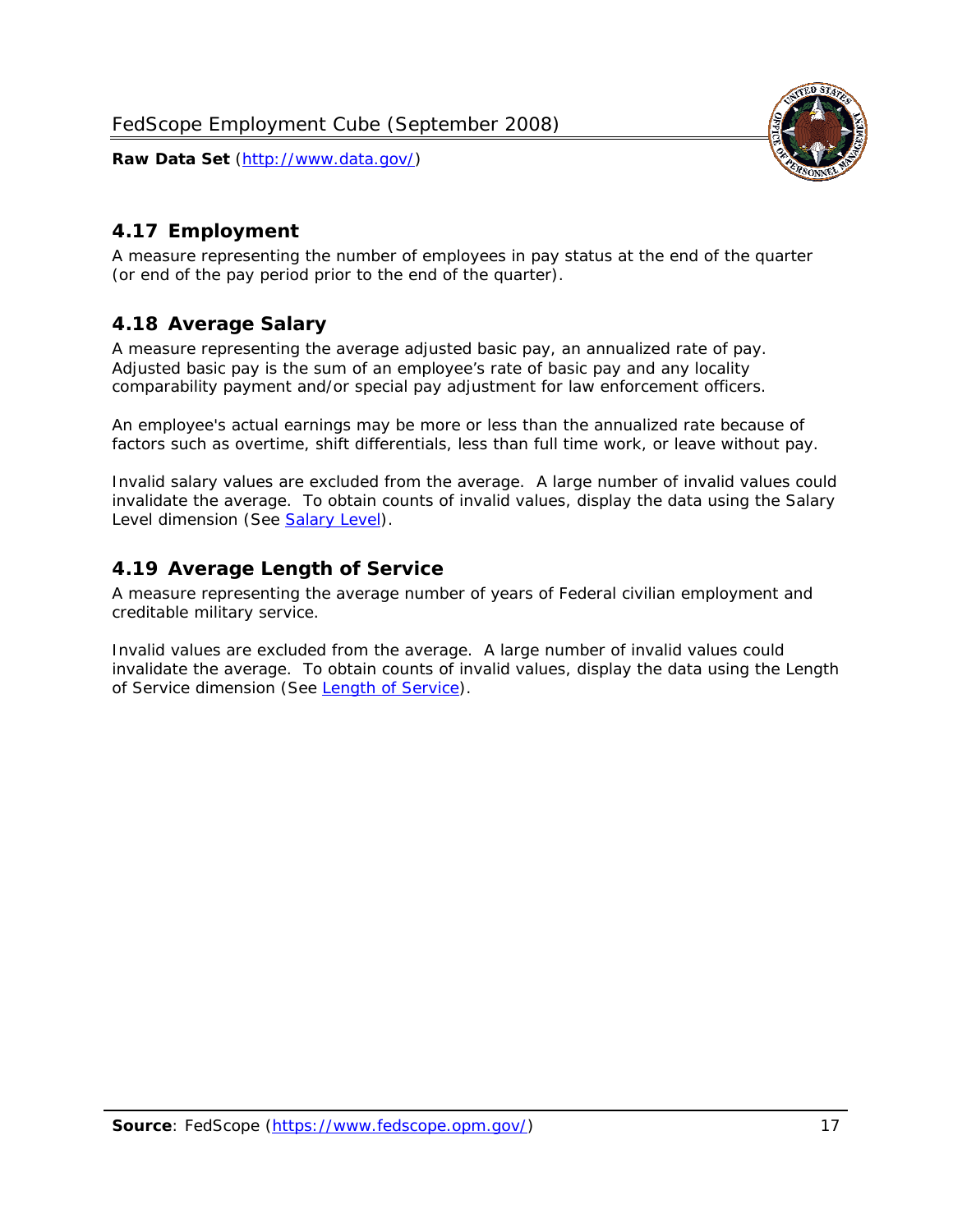

### <span id="page-17-0"></span>*4.17 Employment*

A measure representing the number of employees in pay status at the end of the quarter (or end of the pay period prior to the end of the quarter).

#### <span id="page-17-1"></span>*4.18 Average Salary*

A measure representing the average adjusted basic pay, an annualized rate of pay. Adjusted basic pay is the sum of an employee's rate of basic pay and any locality comparability payment and/or special pay adjustment for law enforcement officers.

An employee's actual earnings may be more or less than the annualized rate because of factors such as overtime, shift differentials, less than full time work, or leave without pay.

Invalid salary values are excluded from the average. A large number of invalid values could invalidate the average. To obtain counts of invalid values, display the data using the Salary Level dimension (See [Salary Level\)](#page-16-1).

#### <span id="page-17-2"></span>*4.19 Average Length of Service*

A measure representing the average number of years of Federal civilian employment and creditable military service.

Invalid values are excluded from the average. A large number of invalid values could invalidate the average. To obtain counts of invalid values, display the data using the Length of Service dimension (See [Length of Service](#page-15-6)).